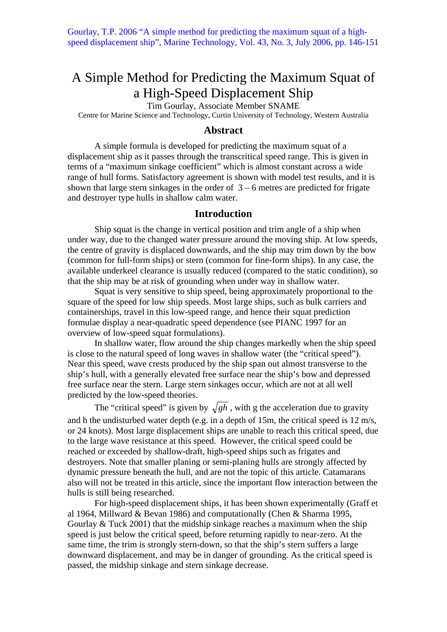# A Simple Method for Predicting the Maximum Squat of a High-Speed Displacement Ship

Tim Gourlay, Associate Member SNAME

Centre for Marine Science and Technology, Curtin University of Technology, Western Australia

# **Abstract**

A simple formula is developed for predicting the maximum squat of a displacement ship as it passes through the transcritical speed range. This is given in terms of a "maximum sinkage coefficient" which is almost constant across a wide range of hull forms. Satisfactory agreement is shown with model test results, and it is shown that large stern sinkages in the order of  $3 - 6$  metres are predicted for frigate and destroyer type hulls in shallow calm water.

# **Introduction**

Ship squat is the change in vertical position and trim angle of a ship when under way, due to the changed water pressure around the moving ship. At low speeds, the centre of gravity is displaced downwards, and the ship may trim down by the bow (common for full-form ships) or stern (common for fine-form ships). In any case, the available underkeel clearance is usually reduced (compared to the static condition), so that the ship may be at risk of grounding when under way in shallow water.

Squat is very sensitive to ship speed, being approximately proportional to the square of the speed for low ship speeds. Most large ships, such as bulk carriers and containerships, travel in this low-speed range, and hence their squat prediction formulae display a near-quadratic speed dependence (see PIANC 1997 for an overview of low-speed squat formulations).

In shallow water, flow around the ship changes markedly when the ship speed is close to the natural speed of long waves in shallow water (the "critical speed"). Near this speed, wave crests produced by the ship span out almost transverse to the ship's hull, with a generally elevated free surface near the ship's bow and depressed free surface near the stern. Large stern sinkages occur, which are not at all well predicted by the low-speed theories.

The "critical speed" is given by  $\sqrt{gh}$ , with g the acceleration due to gravity and h the undisturbed water depth (e.g. in a depth of 15m, the critical speed is 12 m/s, or 24 knots). Most large displacement ships are unable to reach this critical speed, due to the large wave resistance at this speed. However, the critical speed could be reached or exceeded by shallow-draft, high-speed ships such as frigates and destroyers. Note that smaller planing or semi-planing hulls are strongly affected by dynamic pressure beneath the hull, and are not the topic of this article. Catamarans also will not be treated in this article, since the important flow interaction between the hulls is still being researched.

For high-speed displacement ships, it has been shown experimentally (Graff et al 1964, Millward & Bevan 1986) and computationally (Chen & Sharma 1995, Gourlay & Tuck 2001) that the midship sinkage reaches a maximum when the ship speed is just below the critical speed, before returning rapidly to near-zero. At the same time, the trim is strongly stern-down, so that the ship's stern suffers a large downward displacement, and may be in danger of grounding. As the critical speed is passed, the midship sinkage and stern sinkage decrease.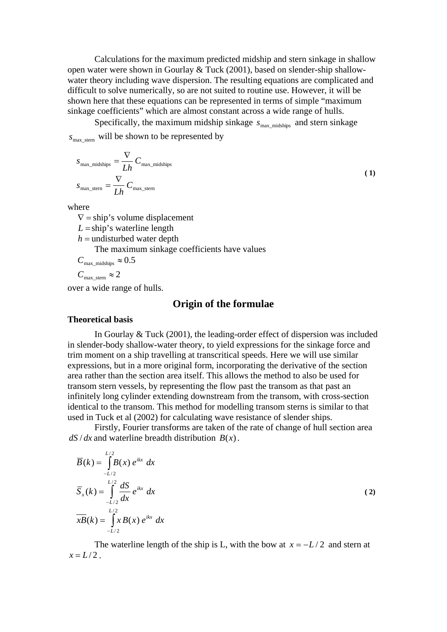Calculations for the maximum predicted midship and stern sinkage in shallow open water were shown in Gourlay & Tuck (2001), based on slender-ship shallowwater theory including wave dispersion. The resulting equations are complicated and difficult to solve numerically, so are not suited to routine use. However, it will be shown here that these equations can be represented in terms of simple "maximum sinkage coefficients" which are almost constant across a wide range of hulls.

Specifically, the maximum midship sinkage  $s_{\text{max}}$  midships and stern sinkage  $S<sub>max</sub>$  stern will be shown to be represented by

$$
S_{\text{max\_midships}} = \frac{\nabla}{Lh} C_{\text{max\_midships}}
$$
  

$$
S_{\text{max\_stem}} = \frac{\nabla}{Lh} C_{\text{max\_stem}}
$$
 (1)

where

 $\nabla$  = ship's volume displacement  $L =$ ship's waterline length  $h$  = undisturbed water depth The maximum sinkage coefficients have values  $C_{\text{max\_midships}} \approx 0.5$  $C_{\text{max\_stem}} \approx 2$ 

over a wide range of hulls.

## **Origin of the formulae**

#### **Theoretical basis**

In Gourlay & Tuck (2001), the leading-order effect of dispersion was included in slender-body shallow-water theory, to yield expressions for the sinkage force and trim moment on a ship travelling at transcritical speeds. Here we will use similar expressions, but in a more original form, incorporating the derivative of the section area rather than the section area itself. This allows the method to also be used for transom stern vessels, by representing the flow past the transom as that past an infinitely long cylinder extending downstream from the transom, with cross-section identical to the transom. This method for modelling transom sterns is similar to that used in Tuck et al (2002) for calculating wave resistance of slender ships.

Firstly, Fourier transforms are taken of the rate of change of hull section area  $dS/dx$  and waterline breadth distribution  $B(x)$ .

$$
\overline{B}(k) = \int_{-L/2}^{L/2} B(x) e^{ikx} dx
$$
\n
$$
\overline{S}_x(k) = \int_{-L/2}^{L/2} \frac{dS}{dx} e^{ikx} dx
$$
\n
$$
\overline{xB}(k) = \int_{-L/2}^{L/2} x B(x) e^{ikx} dx
$$
\n(2)

The waterline length of the ship is L, with the bow at  $x = -L/2$  and stern at  $x = L/2$ .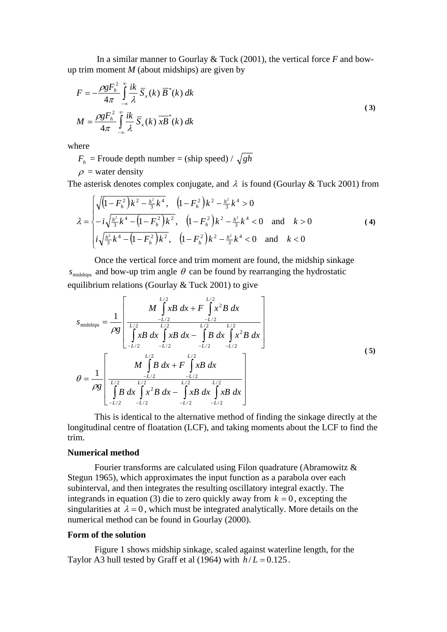In a similar manner to Gourlay & Tuck (2001), the vertical force *F* and bowup trim moment *M* (about midships) are given by

$$
F = -\frac{\rho g F_h^2}{4\pi} \int_{-\infty}^{\infty} \frac{ik}{\lambda} \overline{S}_x(k) \overline{B}^*(k) dk
$$
  

$$
M = \frac{\rho g F_h^2}{4\pi} \int_{-\infty}^{\infty} \frac{ik}{\lambda} \overline{S}_x(k) \overline{xB}^*(k) dk
$$
 (3)

where

 $F_h$  = Froude depth number = (ship speed) /  $\sqrt{gh}$ 

 $\rho$  = water density

The asterisk denotes complex conjugate, and  $\lambda$  is found (Gourlay & Tuck 2001) from

$$
\lambda = \begin{cases}\n\sqrt{\left(1 - F_h^2\right)k^2 - \frac{h^2}{3}k^4}, & \left(1 - F_h^2\right)k^2 - \frac{h^2}{3}k^4 > 0 \\
-i\sqrt{\frac{h^2}{3}k^4 - \left(1 - F_h^2\right)k^2}, & \left(1 - F_h^2\right)k^2 - \frac{h^2}{3}k^4 < 0 \quad \text{and} \quad k > 0 \\
i\sqrt{\frac{h^2}{3}k^4 - \left(1 - F_h^2\right)k^2}, & \left(1 - F_h^2\right)k^2 - \frac{h^2}{3}k^4 < 0 \quad \text{and} \quad k < 0\n\end{cases} \tag{4}
$$

Once the vertical force and trim moment are found, the midship sinkage  $s_{\text{midships}}$  and bow-up trim angle  $\theta$  can be found by rearranging the hydrostatic equilibrium relations (Gourlay  $&$  Tuck 2001) to give

$$
S_{\text{midships}} = \frac{1}{\rho g} \left[ \frac{M \int_{-L/2}^{L/2} xB \, dx + F \int_{-L/2}^{L/2} x^2 B \, dx}{\int_{-L/2}^{L/2} xB \, dx \int_{-L/2}^{L/2} xB \, dx - \int_{-L/2}^{L/2} B \, dx \int_{-L/2}^{L/2} x^2 B \, dx} \right]
$$
  

$$
\theta = \frac{1}{\rho g} \left[ \frac{L/2}{\int_{-L/2}^{L/2} B \, dx + F \int_{-L/2}^{L/2} xB \, dx} \right]
$$
  

$$
\theta = \frac{1}{\rho g} \left[ \frac{L/2}{\int_{-L/2}^{L/2} B \, dx \int_{-L/2}^{L/2} x^2 B \, dx - \int_{-L/2}^{L/2} xB \, dx} \right]
$$
  
(5)

This is identical to the alternative method of finding the sinkage directly at the longitudinal centre of floatation (LCF), and taking moments about the LCF to find the trim.

#### **Numerical method**

Fourier transforms are calculated using Filon quadrature (Abramowitz & Stegun 1965), which approximates the input function as a parabola over each subinterval, and then integrates the resulting oscillatory integral exactly. The integrands in equation (3) die to zero quickly away from  $k = 0$ , excepting the singularities at  $\lambda = 0$ , which must be integrated analytically. More details on the numerical method can be found in Gourlay (2000).

#### **Form of the solution**

Figure 1 shows midship sinkage, scaled against waterline length, for the Taylor A3 hull tested by Graff et al (1964) with  $h/L = 0.125$ .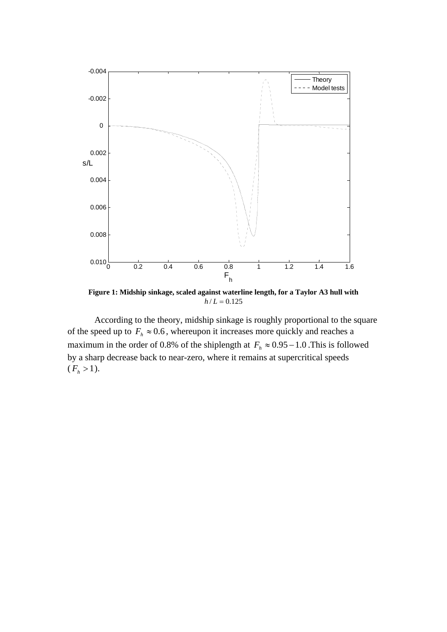

**Figure 1: Midship sinkage, scaled against waterline length, for a Taylor A3 hull with**   $h/L = 0.125$ 

According to the theory, midship sinkage is roughly proportional to the square of the speed up to  $F_h \approx 0.6$ , whereupon it increases more quickly and reaches a maximum in the order of 0.8% of the shiplength at  $F_h \approx 0.95 - 1.0$ . This is followed by a sharp decrease back to near-zero, where it remains at supercritical speeds  $(F_h > 1).$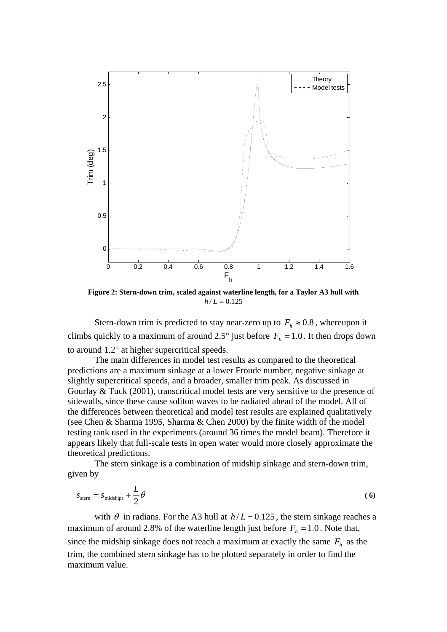

**Figure 2: Stern-down trim, scaled against waterline length, for a Taylor A3 hull with**   $h/L = 0.125$ 

Stern-down trim is predicted to stay near-zero up to  $F_h \approx 0.8$ , whereupon it climbs quickly to a maximum of around 2.5° just before  $F_h = 1.0$ . It then drops down to around 1.2° at higher supercritical speeds.

The main differences in model test results as compared to the theoretical predictions are a maximum sinkage at a lower Froude number, negative sinkage at slightly supercritical speeds, and a broader, smaller trim peak. As discussed in Gourlay & Tuck (2001), transcritical model tests are very sensitive to the presence of sidewalls, since these cause soliton waves to be radiated ahead of the model. All of the differences between theoretical and model test results are explained qualitatively (see Chen & Sharma 1995, Sharma & Chen 2000) by the finite width of the model testing tank used in the experiments (around 36 times the model beam). Therefore it appears likely that full-scale tests in open water would more closely approximate the theoretical predictions.

The stern sinkage is a combination of midship sinkage and stern-down trim, given by

$$
S_{\text{stem}} = S_{\text{midships}} + \frac{L}{2}\theta \tag{6}
$$

with  $\theta$  in radians. For the A3 hull at  $h/L = 0.125$ , the stern sinkage reaches a maximum of around 2.8% of the waterline length just before  $F_h = 1.0$ . Note that, since the midship sinkage does not reach a maximum at exactly the same  $F<sub>h</sub>$  as the trim, the combined stern sinkage has to be plotted separately in order to find the maximum value.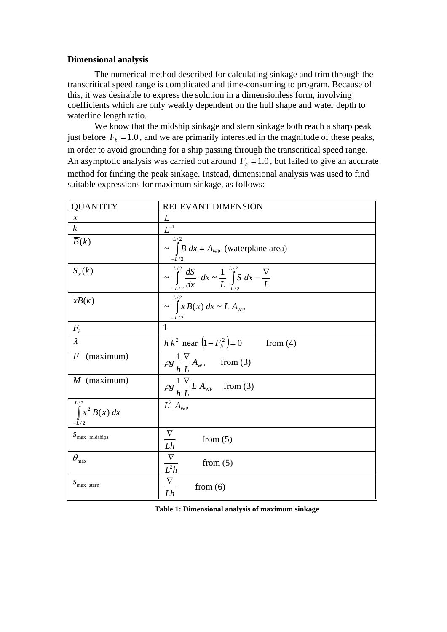## **Dimensional analysis**

The numerical method described for calculating sinkage and trim through the transcritical speed range is complicated and time-consuming to program. Because of this, it was desirable to express the solution in a dimensionless form, involving coefficients which are only weakly dependent on the hull shape and water depth to waterline length ratio.

We know that the midship sinkage and stern sinkage both reach a sharp peak just before  $F<sub>h</sub> = 1.0$ , and we are primarily interested in the magnitude of these peaks, in order to avoid grounding for a ship passing through the transcritical speed range. An asymptotic analysis was carried out around  $F<sub>h</sub> = 1.0$ , but failed to give an accurate method for finding the peak sinkage. Instead, dimensional analysis was used to find suitable expressions for maximum sinkage, as follows:

| <b>QUANTITY</b>                     | RELEVANT DIMENSION                                                                                   |  |  |  |  |
|-------------------------------------|------------------------------------------------------------------------------------------------------|--|--|--|--|
| $\mathcal{X}$                       | L                                                                                                    |  |  |  |  |
| $\boldsymbol{k}$                    | $\overline{L^{^{-1}}}$                                                                               |  |  |  |  |
| $\overline{B}(k)$                   | L/2<br>$\sim \int B dx = A_{\text{WP}}$ (waterplane area)<br>$-L/2$                                  |  |  |  |  |
| $\overline{S}_{x}(k)$               | $\sim \int_{-L/2}^{L/2} \frac{dS}{dx} dx \sim \frac{1}{L} \int_{-L/2}^{L/2} S dx = \frac{\nabla}{L}$ |  |  |  |  |
| xB(k)                               | L/2<br>$\sim \int x B(x) dx \sim L A_{\text{WP}}$<br>$-L/2$                                          |  |  |  |  |
| $F_h$                               | 1                                                                                                    |  |  |  |  |
| $\lambda$                           | $h k^2$ near $(1 - F_h^2) = 0$ from (4)                                                              |  |  |  |  |
| (maximum)<br>$\overline{F}$         | $\rho g \frac{1}{h} \frac{\nabla}{L} A_{\text{wp}}$ from (3)                                         |  |  |  |  |
| $M$ (maximum)                       | $\rho g \frac{1}{h} \frac{\nabla}{L} L A_{\text{wp}}$ from (3)                                       |  |  |  |  |
| L/2<br>$\int x^2 B(x) dx$<br>$-L/2$ | $L^2 A_{\text{WP}}$                                                                                  |  |  |  |  |
| $S_{\text{max\_midships}}$          | $\nabla$<br>from $(5)$<br>Lh                                                                         |  |  |  |  |
| $\theta_{\rm max}$                  | $\nabla$<br>from $(5)$<br>$\frac{1}{L^2h}$                                                           |  |  |  |  |
| $S_{\text{max}\_\text{stern}}$      | $\frac{\nabla}{Lh}$<br>from $(6)$                                                                    |  |  |  |  |

**Table 1: Dimensional analysis of maximum sinkage**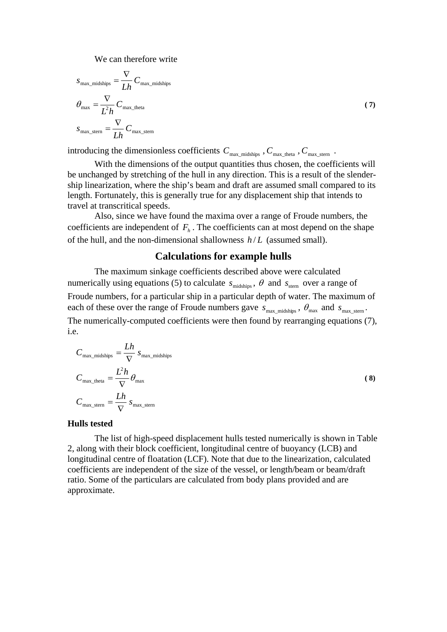We can therefore write

$$
S_{\text{max\_midships}} = \frac{\nabla}{Lh} C_{\text{max\_midships}}
$$
  
\n
$$
\theta_{\text{max}} = \frac{\nabla}{L^2 h} C_{\text{max\_theta}}
$$
  
\n
$$
S_{\text{max\_stern}} = \frac{\nabla}{Lh} C_{\text{max\_stern}}
$$
\n(7)

introducing the dimensionless coefficients  $C_{\text{max\_midships}}$  ,  $C_{\text{max\_theta}}$  ,  $C_{\text{max\_stern}}$  .

With the dimensions of the output quantities thus chosen, the coefficients will be unchanged by stretching of the hull in any direction. This is a result of the slendership linearization, where the ship's beam and draft are assumed small compared to its length. Fortunately, this is generally true for any displacement ship that intends to travel at transcritical speeds.

Also, since we have found the maxima over a range of Froude numbers, the coefficients are independent of  $F<sub>h</sub>$ . The coefficients can at most depend on the shape of the hull, and the non-dimensional shallowness *h* / *L* (assumed small).

## **Calculations for example hulls**

The maximum sinkage coefficients described above were calculated numerically using equations (5) to calculate  $s_{\text{midships}}$ ,  $\theta$  and  $s_{\text{stem}}$  over a range of Froude numbers, for a particular ship in a particular depth of water. The maximum of each of these over the range of Froude numbers gave  $s_{\text{max\_midships}}$ ,  $\theta_{\text{max}}$  and  $s_{\text{max\_stem}}$ . The numerically-computed coefficients were then found by rearranging equations (7), i.e.

$$
C_{\text{max\_midships}} = \frac{Lh}{\nabla} s_{\text{max\_midships}}
$$
  
\n
$$
C_{\text{max\_theta}} = \frac{L^2h}{\nabla} \theta_{\text{max}}
$$
  
\n
$$
C_{\text{max\_stem}} = \frac{Lh}{\nabla} s_{\text{max\_stern}}
$$
 (8)

#### **Hulls tested**

The list of high-speed displacement hulls tested numerically is shown in Table 2, along with their block coefficient, longitudinal centre of buoyancy (LCB) and longitudinal centre of floatation (LCF). Note that due to the linearization, calculated coefficients are independent of the size of the vessel, or length/beam or beam/draft ratio. Some of the particulars are calculated from body plans provided and are approximate.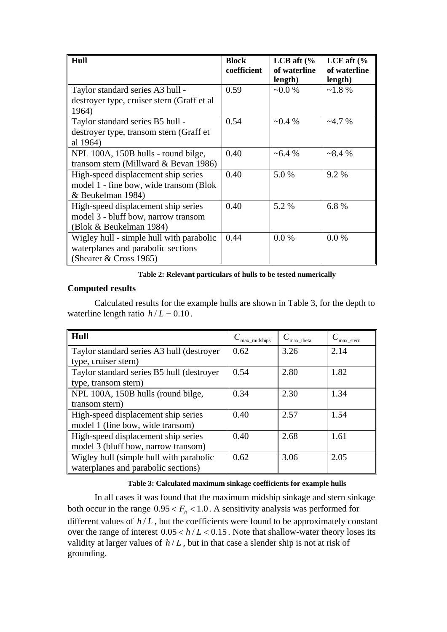| Hull                                        | <b>Block</b><br>coefficient | LCB aft $\frac{6}{6}$<br>of waterline<br>length) | LCF aft $\frac{6}{6}$<br>of waterline<br>length) |
|---------------------------------------------|-----------------------------|--------------------------------------------------|--------------------------------------------------|
| Taylor standard series A3 hull -            | 0.59                        | $-0.0\%$                                         | $~1.8\%$                                         |
| destroyer type, cruiser stern (Graff et al. |                             |                                                  |                                                  |
| 1964)                                       |                             |                                                  |                                                  |
| Taylor standard series B5 hull -            | 0.54                        | $\sim 0.4 \%$                                    | $-4.7\%$                                         |
| destroyer type, transom stern (Graff et     |                             |                                                  |                                                  |
| al 1964)                                    |                             |                                                  |                                                  |
| NPL 100A, 150B hulls - round bilge,         | 0.40                        | $~16.4\%$                                        | ~28.4%                                           |
| transom stern (Millward $& Bevan 1986$ )    |                             |                                                  |                                                  |
| High-speed displacement ship series         | 0.40                        | 5.0 %                                            | 9.2 %                                            |
| model 1 - fine bow, wide transom (Blok      |                             |                                                  |                                                  |
| & Beukelman 1984)                           |                             |                                                  |                                                  |
| High-speed displacement ship series         | 0.40                        | 5.2 %                                            | 6.8%                                             |
| model 3 - bluff bow, narrow transom         |                             |                                                  |                                                  |
| (Blok & Beukelman 1984)                     |                             |                                                  |                                                  |
| Wigley hull - simple hull with parabolic    | 0.44                        | 0.0 %                                            | 0.0 %                                            |
| waterplanes and parabolic sections          |                             |                                                  |                                                  |
| (Shearer $& Cross 1965$ )                   |                             |                                                  |                                                  |

**Table 2: Relevant particulars of hulls to be tested numerically** 

# **Computed results**

Calculated results for the example hulls are shown in Table 3, for the depth to waterline length ratio  $h/L = 0.10$ .

| Hull                                      | max midships | $C_{\text{max\_theta}}$ | max stern |
|-------------------------------------------|--------------|-------------------------|-----------|
| Taylor standard series A3 hull (destroyer | 0.62         | 3.26                    | 2.14      |
| type, cruiser stern)                      |              |                         |           |
| Taylor standard series B5 hull (destroyer | 0.54         | 2.80                    | 1.82      |
| type, transom stern)                      |              |                         |           |
| NPL 100A, 150B hulls (round bilge,        | 0.34         | 2.30                    | 1.34      |
| transom stern)                            |              |                         |           |
| High-speed displacement ship series       | 0.40         | 2.57                    | 1.54      |
| model 1 (fine bow, wide transom)          |              |                         |           |
| High-speed displacement ship series       | 0.40         | 2.68                    | 1.61      |
| model 3 (bluff bow, narrow transom)       |              |                         |           |
| Wigley hull (simple hull with parabolic   | 0.62         | 3.06                    | 2.05      |
| waterplanes and parabolic sections)       |              |                         |           |

# **Table 3: Calculated maximum sinkage coefficients for example hulls**

In all cases it was found that the maximum midship sinkage and stern sinkage both occur in the range  $0.95 < F_h < 1.0$ . A sensitivity analysis was performed for different values of  $h/L$ , but the coefficients were found to be approximately constant over the range of interest  $0.05 < h/L < 0.15$ . Note that shallow-water theory loses its validity at larger values of *h* / *L* , but in that case a slender ship is not at risk of grounding.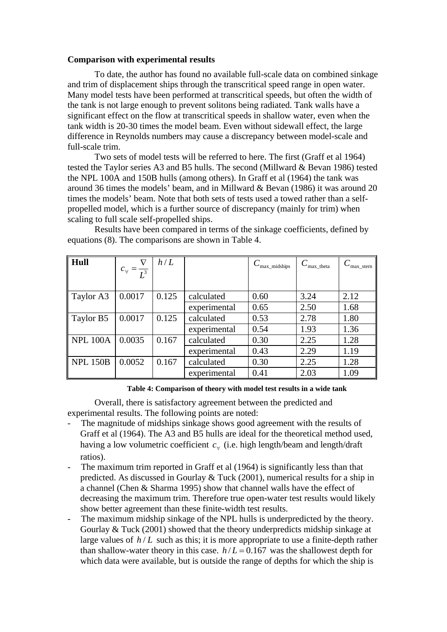## **Comparison with experimental results**

To date, the author has found no available full-scale data on combined sinkage and trim of displacement ships through the transcritical speed range in open water. Many model tests have been performed at transcritical speeds, but often the width of the tank is not large enough to prevent solitons being radiated. Tank walls have a significant effect on the flow at transcritical speeds in shallow water, even when the tank width is 20-30 times the model beam. Even without sidewall effect, the large difference in Reynolds numbers may cause a discrepancy between model-scale and full-scale trim.

Two sets of model tests will be referred to here. The first (Graff et al 1964) tested the Taylor series A3 and B5 hulls. The second (Millward & Bevan 1986) tested the NPL 100A and 150B hulls (among others). In Graff et al (1964) the tank was around 36 times the models' beam, and in Millward & Bevan (1986) it was around 20 times the models' beam. Note that both sets of tests used a towed rather than a selfpropelled model, which is a further source of discrepancy (mainly for trim) when scaling to full scale self-propelled ships.

| $\parallel$ Hull     | $\nabla$<br>$c_{\forall} = \frac{1}{L^3}$ | h/L   |              | max midships | max theta | max_stern |
|----------------------|-------------------------------------------|-------|--------------|--------------|-----------|-----------|
| Taylor A3            | 0.0017                                    | 0.125 | calculated   | 0.60         | 3.24      | 2.12      |
|                      |                                           |       | experimental | 0.65         | 2.50      | 1.68      |
| Taylor B5            | 0.0017                                    | 0.125 | calculated   | 0.53         | 2.78      | 1.80      |
|                      |                                           |       | experimental | 0.54         | 1.93      | 1.36      |
| NPL 100A             | 0.0035                                    | 0.167 | calculated   | 0.30         | 2.25      | 1.28      |
|                      |                                           |       | experimental | 0.43         | 2.29      | 1.19      |
| $\parallel$ NPL 150B | 0.0052                                    | 0.167 | calculated   | 0.30         | 2.25      | 1.28      |
|                      |                                           |       | experimental | 0.41         | 2.03      | 1.09      |

Results have been compared in terms of the sinkage coefficients, defined by equations (8). The comparisons are shown in Table 4.

#### **Table 4: Comparison of theory with model test results in a wide tank**

Overall, there is satisfactory agreement between the predicted and experimental results. The following points are noted:

- The magnitude of midships sinkage shows good agreement with the results of Graff et al (1964). The A3 and B5 hulls are ideal for the theoretical method used, having a low volumetric coefficient  $c_{\forall}$  (i.e. high length/beam and length/draft ratios).
- The maximum trim reported in Graff et al (1964) is significantly less than that predicted. As discussed in Gourlay & Tuck (2001), numerical results for a ship in a channel (Chen & Sharma 1995) show that channel walls have the effect of decreasing the maximum trim. Therefore true open-water test results would likely show better agreement than these finite-width test results.
- The maximum midship sinkage of the NPL hulls is underpredicted by the theory. Gourlay & Tuck (2001) showed that the theory underpredicts midship sinkage at large values of  $h/L$  such as this; it is more appropriate to use a finite-depth rather than shallow-water theory in this case.  $h/L = 0.167$  was the shallowest depth for which data were available, but is outside the range of depths for which the ship is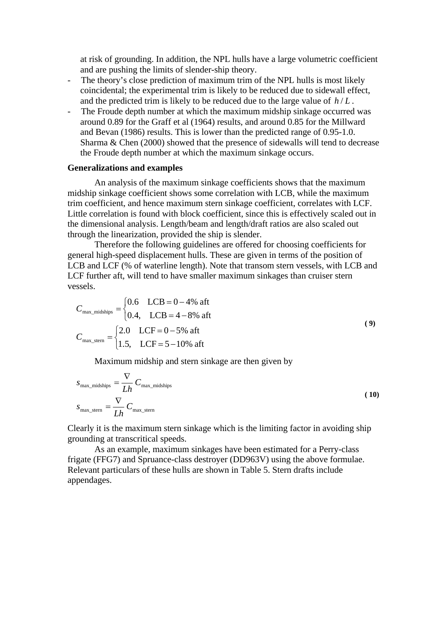at risk of grounding. In addition, the NPL hulls have a large volumetric coefficient and are pushing the limits of slender-ship theory.

- The theory's close prediction of maximum trim of the NPL hulls is most likely coincidental; the experimental trim is likely to be reduced due to sidewall effect, and the predicted trim is likely to be reduced due to the large value of  $h/L$ .
- The Froude depth number at which the maximum midship sinkage occurred was around 0.89 for the Graff et al (1964) results, and around 0.85 for the Millward and Bevan (1986) results. This is lower than the predicted range of 0.95-1.0. Sharma & Chen (2000) showed that the presence of sidewalls will tend to decrease the Froude depth number at which the maximum sinkage occurs.

#### **Generalizations and examples**

An analysis of the maximum sinkage coefficients shows that the maximum midship sinkage coefficient shows some correlation with LCB, while the maximum trim coefficient, and hence maximum stern sinkage coefficient, correlates with LCF. Little correlation is found with block coefficient, since this is effectively scaled out in the dimensional analysis. Length/beam and length/draft ratios are also scaled out through the linearization, provided the ship is slender.

Therefore the following guidelines are offered for choosing coefficients for general high-speed displacement hulls. These are given in terms of the position of LCB and LCF (% of waterline length). Note that transom stern vessels, with LCB and LCF further aft, will tend to have smaller maximum sinkages than cruiser stern vessels.

$$
C_{\text{max\_midships}} = \begin{cases} 0.6 & \text{LCB} = 0 - 4\% \text{ aft} \\ 0.4, & \text{LCB} = 4 - 8\% \text{ aft} \end{cases} \tag{9}
$$
\n
$$
C_{\text{max\_stern}} = \begin{cases} 2.0 & \text{LCF} = 0 - 5\% \text{ aft} \\ 1.5, & \text{LCF} = 5 - 10\% \text{ aft} \end{cases} \tag{9}
$$

Maximum midship and stern sinkage are then given by

$$
S_{\text{max\_midships}} = \frac{\nabla}{Lh} C_{\text{max\_midships}}
$$
\n
$$
S_{\text{max\_ster}} = \frac{\nabla}{Lh} C_{\text{max\_ster}} \tag{10}
$$

Clearly it is the maximum stern sinkage which is the limiting factor in avoiding ship grounding at transcritical speeds.

As an example, maximum sinkages have been estimated for a Perry-class frigate (FFG7) and Spruance-class destroyer (DD963V) using the above formulae. Relevant particulars of these hulls are shown in Table 5. Stern drafts include appendages.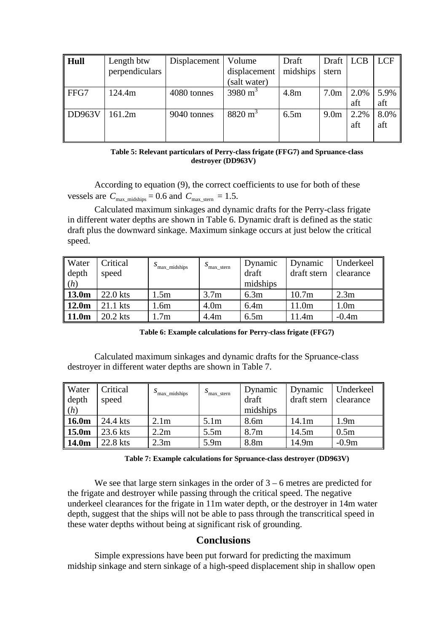| Hull          | Length btw<br>perpendiculars | Displacement | Volume<br>displacement | Draft<br>midships | Draft   LCB<br>stern |             | <b>LCF</b>  |
|---------------|------------------------------|--------------|------------------------|-------------------|----------------------|-------------|-------------|
|               |                              |              | (salt water)           |                   |                      |             |             |
| FFG7          | 124.4m                       | 4080 tonnes  | 3980 $m^3$             | 4.8 <sub>m</sub>  | 7.0 <sub>m</sub>     | 2.0%        | 5.9%        |
|               |                              |              |                        |                   |                      | aft         | aft         |
| <b>DD963V</b> | 161.2m                       | 9040 tonnes  | $8820 \text{ m}^3$     | 6.5m              | 9.0 <sub>m</sub>     | 2.2%<br>aft | 8.0%<br>aft |

#### **Table 5: Relevant particulars of Perry-class frigate (FFG7) and Spruance-class destroyer (DD963V)**

According to equation (9), the correct coefficients to use for both of these vessels are  $C_{\text{max\_midships}} = 0.6$  and  $C_{\text{max\_stern}} = 1.5$ .

Calculated maximum sinkages and dynamic drafts for the Perry-class frigate in different water depths are shown in Table 6. Dynamic draft is defined as the static draft plus the downward sinkage. Maximum sinkage occurs at just below the critical speed.

| <b>Water</b><br>$\vert$ depth<br>(h) | Critical<br>speed | $\mathcal{S}_{\text{max\_midships}}$ | $S_{\text{max\_stern}}$ | Dynamic<br>draft<br>midships | Dynamic<br>draft stern | Underkeel<br>clearance |
|--------------------------------------|-------------------|--------------------------------------|-------------------------|------------------------------|------------------------|------------------------|
| $\parallel$ 13.0m                    | 22.0 kts          | 1.5m                                 | 3.7 <sub>m</sub>        | 6.3m                         | 10.7 <sub>m</sub>      | 2.3m                   |
| $\parallel$ 12.0m                    | 21.1 kts          | 1.6m                                 | 4.0 <sub>m</sub>        | 6.4m                         | 11.0m                  | 1.0 <sub>m</sub>       |
| $\parallel$ 11.0m                    | $20.2$ kts        | .7 <sub>m</sub>                      | 4.4 <sub>m</sub>        | 6.5m                         | 11.4m                  | $-0.4m$                |

**Table 6: Example calculations for Perry-class frigate (FFG7)** 

Calculated maximum sinkages and dynamic drafts for the Spruance-class destroyer in different water depths are shown in Table 7.

| <b>Water</b><br>$\vert$ depth<br>(h) | Critical<br>speed | $S_{\text{max\_midships}}$ | $S_{\text{max}\_\text{stem}}$ | Dynamic<br>draft<br>midships | Dynamic<br>draft stern | Underkeel<br>clearance |
|--------------------------------------|-------------------|----------------------------|-------------------------------|------------------------------|------------------------|------------------------|
| $\parallel$ 16.0m                    | 24.4 kts          | 2.1 <sub>m</sub>           | 5.1 <sub>m</sub>              | 8.6m                         | 14.1 <sub>m</sub>      | 1.9 <sub>m</sub>       |
| $\parallel$ 15.0m                    | 23.6 kts          | 2.2m                       | 5.5m                          | 8.7 <sub>m</sub>             | 14.5m                  | 0.5 <sub>m</sub>       |
| $\parallel$ 14.0m                    | 22.8 kts          | 2.3 <sub>m</sub>           | 5.9m                          | 8.8m                         | 14.9m                  | $-0.9m$                |

**Table 7: Example calculations for Spruance-class destroyer (DD963V)** 

We see that large stern sinkages in the order of  $3 - 6$  metres are predicted for the frigate and destroyer while passing through the critical speed. The negative underkeel clearances for the frigate in 11m water depth, or the destroyer in 14m water depth, suggest that the ships will not be able to pass through the transcritical speed in these water depths without being at significant risk of grounding.

# **Conclusions**

Simple expressions have been put forward for predicting the maximum midship sinkage and stern sinkage of a high-speed displacement ship in shallow open